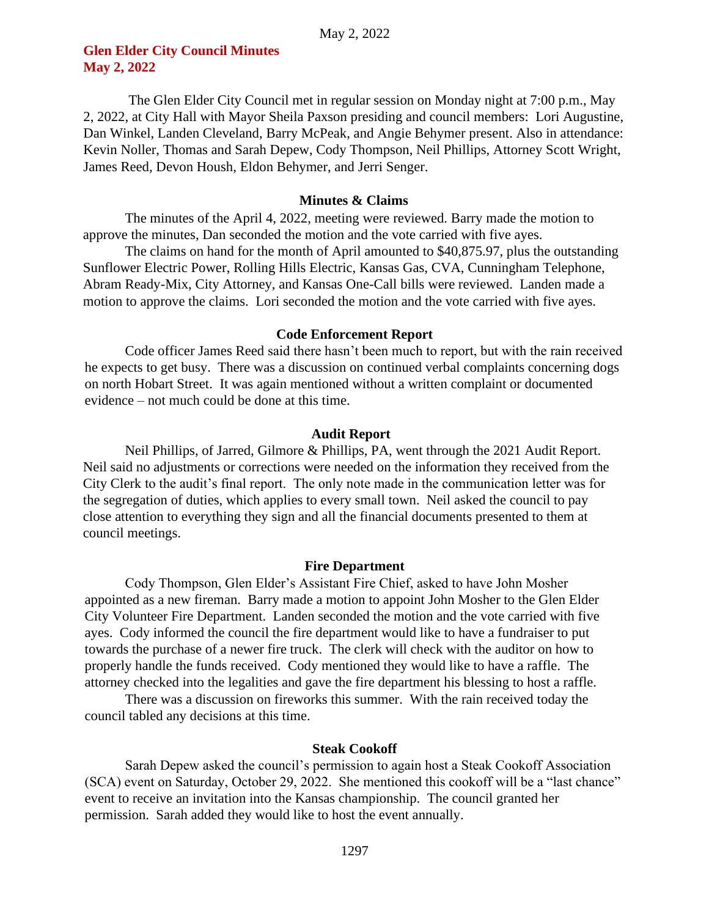# **Glen Elder City Council Minutes May 2, 2022**

The Glen Elder City Council met in regular session on Monday night at 7:00 p.m., May 2, 2022, at City Hall with Mayor Sheila Paxson presiding and council members: Lori Augustine, Dan Winkel, Landen Cleveland, Barry McPeak, and Angie Behymer present. Also in attendance: Kevin Noller, Thomas and Sarah Depew, Cody Thompson, Neil Phillips, Attorney Scott Wright, James Reed, Devon Housh, Eldon Behymer, and Jerri Senger.

## **Minutes & Claims**

The minutes of the April 4, 2022, meeting were reviewed. Barry made the motion to approve the minutes, Dan seconded the motion and the vote carried with five ayes.

The claims on hand for the month of April amounted to \$40,875.97, plus the outstanding Sunflower Electric Power, Rolling Hills Electric, Kansas Gas, CVA, Cunningham Telephone, Abram Ready-Mix, City Attorney, and Kansas One-Call bills were reviewed. Landen made a motion to approve the claims. Lori seconded the motion and the vote carried with five ayes.

### **Code Enforcement Report**

Code officer James Reed said there hasn't been much to report, but with the rain received he expects to get busy. There was a discussion on continued verbal complaints concerning dogs on north Hobart Street. It was again mentioned without a written complaint or documented evidence – not much could be done at this time.

## **Audit Report**

Neil Phillips, of Jarred, Gilmore & Phillips, PA, went through the 2021 Audit Report. Neil said no adjustments or corrections were needed on the information they received from the City Clerk to the audit's final report. The only note made in the communication letter was for the segregation of duties, which applies to every small town. Neil asked the council to pay close attention to everything they sign and all the financial documents presented to them at council meetings.

## **Fire Department**

Cody Thompson, Glen Elder's Assistant Fire Chief, asked to have John Mosher appointed as a new fireman. Barry made a motion to appoint John Mosher to the Glen Elder City Volunteer Fire Department. Landen seconded the motion and the vote carried with five ayes. Cody informed the council the fire department would like to have a fundraiser to put towards the purchase of a newer fire truck. The clerk will check with the auditor on how to properly handle the funds received. Cody mentioned they would like to have a raffle. The attorney checked into the legalities and gave the fire department his blessing to host a raffle.

There was a discussion on fireworks this summer. With the rain received today the council tabled any decisions at this time.

#### **Steak Cookoff**

Sarah Depew asked the council's permission to again host a Steak Cookoff Association (SCA) event on Saturday, October 29, 2022. She mentioned this cookoff will be a "last chance" event to receive an invitation into the Kansas championship. The council granted her permission. Sarah added they would like to host the event annually.